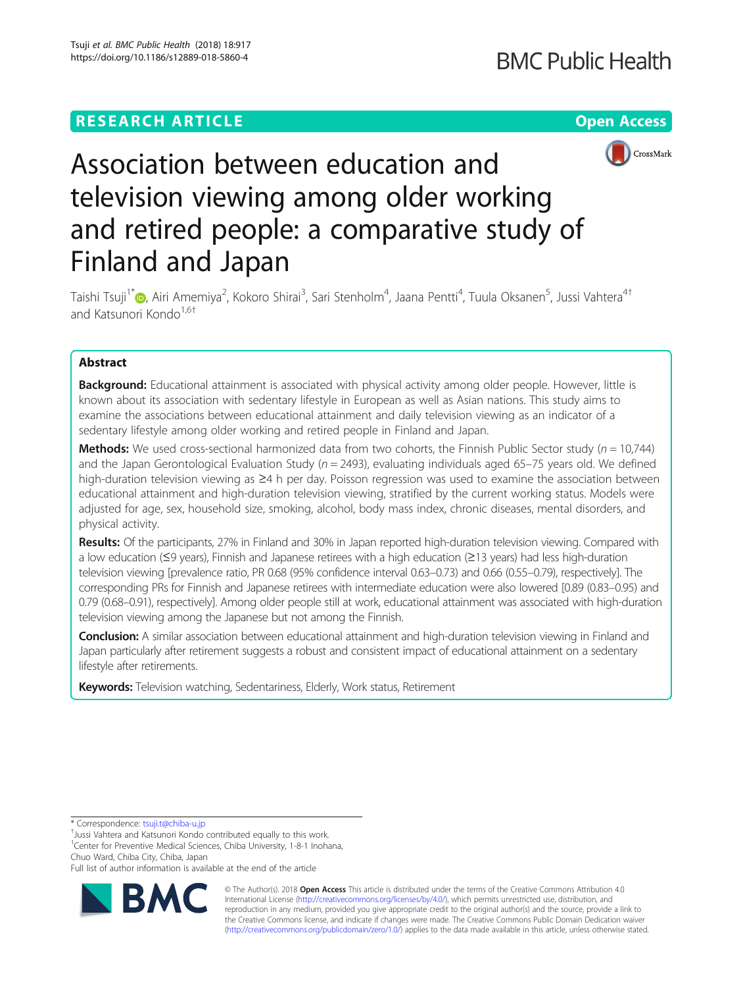# **RESEARCH ARTICLE Example 2014 12:30 The Contract of Contract ACCESS**



# Association between education and television viewing among older working and retired people: a comparative study of Finland and Japan

Taishi Tsuji<sup>1[\\*](http://orcid.org/0000-0002-8408-6619)</sup>�, Airi Amemiya<sup>2</sup>, Kokoro Shirai<sup>3</sup>, Sari Stenholm<sup>4</sup>, Jaana Pentti<sup>4</sup>, Tuula Oksanen<sup>5</sup>, Jussi Vahtera<sup>4†</sup> and Katsunori Kondo<sup>1,6†</sup>

## Abstract

**Background:** Educational attainment is associated with physical activity among older people. However, little is known about its association with sedentary lifestyle in European as well as Asian nations. This study aims to examine the associations between educational attainment and daily television viewing as an indicator of a sedentary lifestyle among older working and retired people in Finland and Japan.

Methods: We used cross-sectional harmonized data from two cohorts, the Finnish Public Sector study ( $n = 10,744$ ) and the Japan Gerontological Evaluation Study ( $n = 2493$ ), evaluating individuals aged 65–75 years old. We defined high-duration television viewing as ≥4 h per day. Poisson regression was used to examine the association between educational attainment and high-duration television viewing, stratified by the current working status. Models were adjusted for age, sex, household size, smoking, alcohol, body mass index, chronic diseases, mental disorders, and physical activity.

Results: Of the participants, 27% in Finland and 30% in Japan reported high-duration television viewing. Compared with a low education (≤9 years), Finnish and Japanese retirees with a high education (≥13 years) had less high-duration television viewing [prevalence ratio, PR 0.68 (95% confidence interval 0.63–0.73) and 0.66 (0.55–0.79), respectively]. The corresponding PRs for Finnish and Japanese retirees with intermediate education were also lowered [0.89 (0.83–0.95) and 0.79 (0.68–0.91), respectively]. Among older people still at work, educational attainment was associated with high-duration television viewing among the Japanese but not among the Finnish.

**Conclusion:** A similar association between educational attainment and high-duration television viewing in Finland and Japan particularly after retirement suggests a robust and consistent impact of educational attainment on a sedentary lifestyle after retirements.

Keywords: Television watching, Sedentariness, Elderly, Work status, Retirement

\* Correspondence: [tsuji.t@chiba-u.jp](mailto:tsuji.t@chiba-u.jp) †

Jussi Vahtera and Katsunori Kondo contributed equally to this work.

<sup>1</sup> Center for Preventive Medical Sciences, Chiba University, 1-8-1 Inohana, Chuo Ward, Chiba City, Chiba, Japan

Full list of author information is available at the end of the article



© The Author(s). 2018 Open Access This article is distributed under the terms of the Creative Commons Attribution 4.0 International License [\(http://creativecommons.org/licenses/by/4.0/](http://creativecommons.org/licenses/by/4.0/)), which permits unrestricted use, distribution, and reproduction in any medium, provided you give appropriate credit to the original author(s) and the source, provide a link to the Creative Commons license, and indicate if changes were made. The Creative Commons Public Domain Dedication waiver [\(http://creativecommons.org/publicdomain/zero/1.0/](http://creativecommons.org/publicdomain/zero/1.0/)) applies to the data made available in this article, unless otherwise stated.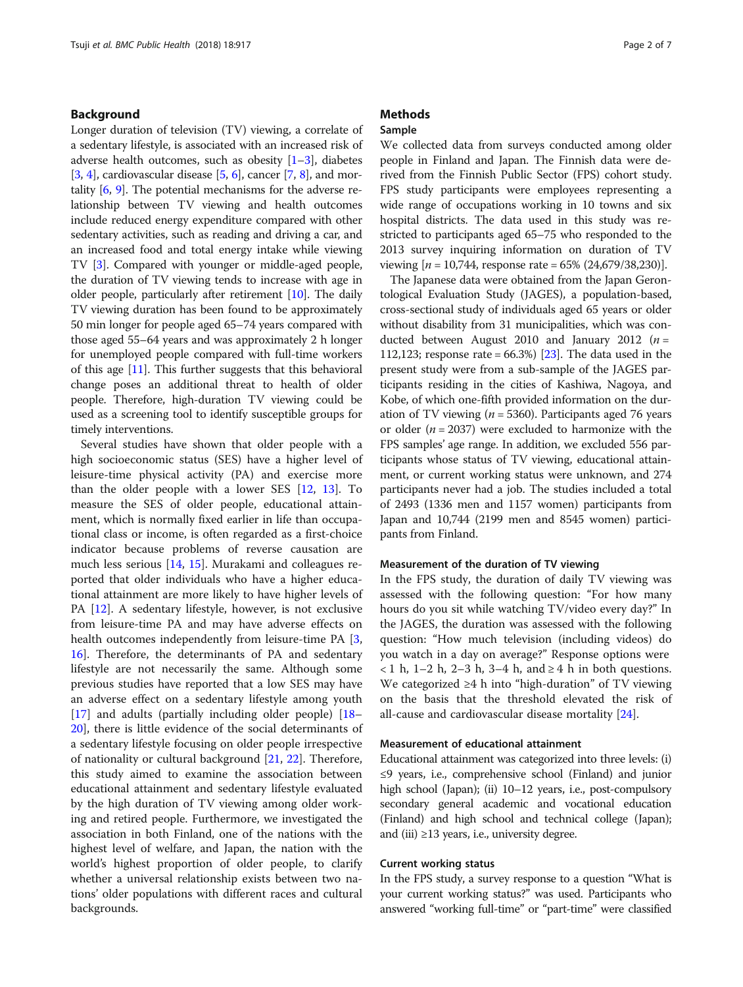#### Background

Longer duration of television (TV) viewing, a correlate of a sedentary lifestyle, is associated with an increased risk of adverse health outcomes, such as obesity  $[1-3]$  $[1-3]$  $[1-3]$  $[1-3]$  $[1-3]$ , diabetes  $[3, 4]$  $[3, 4]$  $[3, 4]$  $[3, 4]$  $[3, 4]$ , cardiovascular disease  $[5, 6]$  $[5, 6]$  $[5, 6]$ , cancer  $[7, 8]$  $[7, 8]$  $[7, 8]$  $[7, 8]$ , and mortality [[6](#page-6-0), [9](#page-6-0)]. The potential mechanisms for the adverse relationship between TV viewing and health outcomes include reduced energy expenditure compared with other sedentary activities, such as reading and driving a car, and an increased food and total energy intake while viewing TV [\[3](#page-6-0)]. Compared with younger or middle-aged people, the duration of TV viewing tends to increase with age in older people, particularly after retirement [\[10](#page-6-0)]. The daily TV viewing duration has been found to be approximately 50 min longer for people aged 65–74 years compared with those aged 55–64 years and was approximately 2 h longer for unemployed people compared with full-time workers of this age [[11](#page-6-0)]. This further suggests that this behavioral change poses an additional threat to health of older people. Therefore, high-duration TV viewing could be used as a screening tool to identify susceptible groups for timely interventions.

Several studies have shown that older people with a high socioeconomic status (SES) have a higher level of leisure-time physical activity (PA) and exercise more than the older people with a lower SES [\[12](#page-6-0), [13](#page-6-0)]. To measure the SES of older people, educational attainment, which is normally fixed earlier in life than occupational class or income, is often regarded as a first-choice indicator because problems of reverse causation are much less serious [\[14,](#page-6-0) [15](#page-6-0)]. Murakami and colleagues reported that older individuals who have a higher educational attainment are more likely to have higher levels of PA [[12\]](#page-6-0). A sedentary lifestyle, however, is not exclusive from leisure-time PA and may have adverse effects on health outcomes independently from leisure-time PA [\[3](#page-6-0), [16\]](#page-6-0). Therefore, the determinants of PA and sedentary lifestyle are not necessarily the same. Although some previous studies have reported that a low SES may have an adverse effect on a sedentary lifestyle among youth [[17\]](#page-6-0) and adults (partially including older people) [[18](#page-6-0)– [20\]](#page-6-0), there is little evidence of the social determinants of a sedentary lifestyle focusing on older people irrespective of nationality or cultural background [[21,](#page-6-0) [22\]](#page-6-0). Therefore, this study aimed to examine the association between educational attainment and sedentary lifestyle evaluated by the high duration of TV viewing among older working and retired people. Furthermore, we investigated the association in both Finland, one of the nations with the highest level of welfare, and Japan, the nation with the world's highest proportion of older people, to clarify whether a universal relationship exists between two nations' older populations with different races and cultural backgrounds.

# **Methods**

### Sample

We collected data from surveys conducted among older people in Finland and Japan. The Finnish data were derived from the Finnish Public Sector (FPS) cohort study. FPS study participants were employees representing a wide range of occupations working in 10 towns and six hospital districts. The data used in this study was restricted to participants aged 65–75 who responded to the 2013 survey inquiring information on duration of TV viewing  $[n = 10,744,$  response rate = 65%  $(24,679/38,230)$ .

The Japanese data were obtained from the Japan Gerontological Evaluation Study (JAGES), a population-based, cross-sectional study of individuals aged 65 years or older without disability from 31 municipalities, which was conducted between August 2010 and January 2012 ( $n =$ 112,123; response rate =  $66.3\%$ ) [\[23](#page-6-0)]. The data used in the present study were from a sub-sample of the JAGES participants residing in the cities of Kashiwa, Nagoya, and Kobe, of which one-fifth provided information on the duration of TV viewing ( $n = 5360$ ). Participants aged 76 years or older ( $n = 2037$ ) were excluded to harmonize with the FPS samples' age range. In addition, we excluded 556 participants whose status of TV viewing, educational attainment, or current working status were unknown, and 274 participants never had a job. The studies included a total of 2493 (1336 men and 1157 women) participants from Japan and 10,744 (2199 men and 8545 women) participants from Finland.

#### Measurement of the duration of TV viewing

In the FPS study, the duration of daily TV viewing was assessed with the following question: "For how many hours do you sit while watching TV/video every day?" In the JAGES, the duration was assessed with the following question: "How much television (including videos) do you watch in a day on average?" Response options were  $\langle 1 \text{ h}, 1-2 \text{ h}, 2-3 \text{ h}, 3-4 \text{ h}, \text{ and } \geq 4 \text{ h}$  in both questions. We categorized ≥4 h into "high-duration" of TV viewing on the basis that the threshold elevated the risk of all-cause and cardiovascular disease mortality [\[24](#page-6-0)].

#### Measurement of educational attainment

Educational attainment was categorized into three levels: (i) ≤9 years, i.e., comprehensive school (Finland) and junior high school (Japan); (ii) 10–12 years, i.e., post-compulsory secondary general academic and vocational education (Finland) and high school and technical college (Japan); and (iii)  $\geq$ 13 years, i.e., university degree.

#### Current working status

In the FPS study, a survey response to a question "What is your current working status?" was used. Participants who answered "working full-time" or "part-time" were classified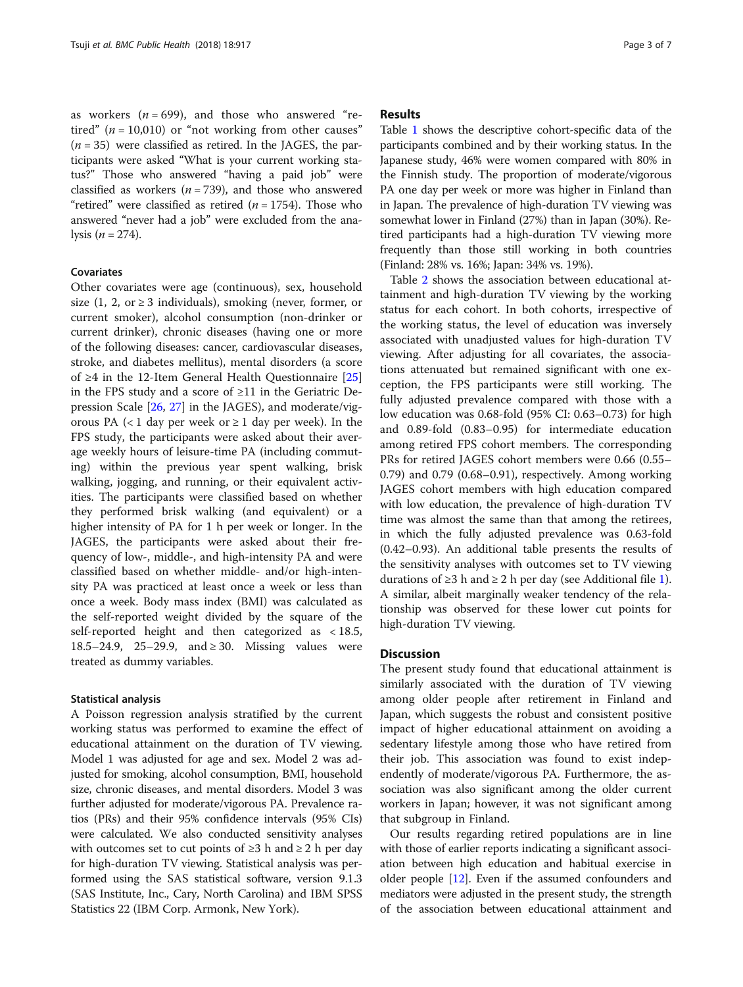as workers  $(n = 699)$ , and those who answered "retired" ( $n = 10,010$ ) or "not working from other causes"  $(n = 35)$  were classified as retired. In the JAGES, the participants were asked "What is your current working status?" Those who answered "having a paid job" were classified as workers ( $n = 739$ ), and those who answered "retired" were classified as retired  $(n = 1754)$ . Those who answered "never had a job" were excluded from the analysis  $(n = 274)$ .

#### Covariates

Other covariates were age (continuous), sex, household size  $(1, 2, \text{ or } \geq 3 \text{ individuals})$ , smoking (never, former, or current smoker), alcohol consumption (non-drinker or current drinker), chronic diseases (having one or more of the following diseases: cancer, cardiovascular diseases, stroke, and diabetes mellitus), mental disorders (a score of ≥4 in the 12-Item General Health Questionnaire [[25](#page-6-0)] in the FPS study and a score of ≥11 in the Geriatric Depression Scale [[26,](#page-6-0) [27\]](#page-6-0) in the JAGES), and moderate/vigorous PA (< 1 day per week or  $\geq 1$  day per week). In the FPS study, the participants were asked about their average weekly hours of leisure-time PA (including commuting) within the previous year spent walking, brisk walking, jogging, and running, or their equivalent activities. The participants were classified based on whether they performed brisk walking (and equivalent) or a higher intensity of PA for 1 h per week or longer. In the JAGES, the participants were asked about their frequency of low-, middle-, and high-intensity PA and were classified based on whether middle- and/or high-intensity PA was practiced at least once a week or less than once a week. Body mass index (BMI) was calculated as the self-reported weight divided by the square of the self-reported height and then categorized as < 18.5, 18.5–24.9, 25–29.9, and ≥ 30. Missing values were treated as dummy variables.

#### Statistical analysis

A Poisson regression analysis stratified by the current working status was performed to examine the effect of educational attainment on the duration of TV viewing. Model 1 was adjusted for age and sex. Model 2 was adjusted for smoking, alcohol consumption, BMI, household size, chronic diseases, and mental disorders. Model 3 was further adjusted for moderate/vigorous PA. Prevalence ratios (PRs) and their 95% confidence intervals (95% CIs) were calculated. We also conducted sensitivity analyses with outcomes set to cut points of  $\geq 3$  h and  $\geq 2$  h per day for high-duration TV viewing. Statistical analysis was performed using the SAS statistical software, version 9.1.3 (SAS Institute, Inc., Cary, North Carolina) and IBM SPSS Statistics 22 (IBM Corp. Armonk, New York).

#### Results

Table [1](#page-3-0) shows the descriptive cohort-specific data of the participants combined and by their working status. In the Japanese study, 46% were women compared with 80% in the Finnish study. The proportion of moderate/vigorous PA one day per week or more was higher in Finland than in Japan. The prevalence of high-duration TV viewing was somewhat lower in Finland (27%) than in Japan (30%). Retired participants had a high-duration TV viewing more frequently than those still working in both countries (Finland: 28% vs. 16%; Japan: 34% vs. 19%).

Table [2](#page-4-0) shows the association between educational attainment and high-duration TV viewing by the working status for each cohort. In both cohorts, irrespective of the working status, the level of education was inversely associated with unadjusted values for high-duration TV viewing. After adjusting for all covariates, the associations attenuated but remained significant with one exception, the FPS participants were still working. The fully adjusted prevalence compared with those with a low education was 0.68-fold (95% CI: 0.63–0.73) for high and 0.89-fold (0.83–0.95) for intermediate education among retired FPS cohort members. The corresponding PRs for retired JAGES cohort members were 0.66 (0.55– 0.79) and 0.79 (0.68–0.91), respectively. Among working JAGES cohort members with high education compared with low education, the prevalence of high-duration TV time was almost the same than that among the retirees, in which the fully adjusted prevalence was 0.63-fold (0.42–0.93). An additional table presents the results of the sensitivity analyses with outcomes set to TV viewing durations of ≥3 h and ≥ 2 h per day (see Additional file [1](#page-5-0)). A similar, albeit marginally weaker tendency of the relationship was observed for these lower cut points for high-duration TV viewing.

#### **Discussion**

The present study found that educational attainment is similarly associated with the duration of TV viewing among older people after retirement in Finland and Japan, which suggests the robust and consistent positive impact of higher educational attainment on avoiding a sedentary lifestyle among those who have retired from their job. This association was found to exist independently of moderate/vigorous PA. Furthermore, the association was also significant among the older current workers in Japan; however, it was not significant among that subgroup in Finland.

Our results regarding retired populations are in line with those of earlier reports indicating a significant association between high education and habitual exercise in older people [[12\]](#page-6-0). Even if the assumed confounders and mediators were adjusted in the present study, the strength of the association between educational attainment and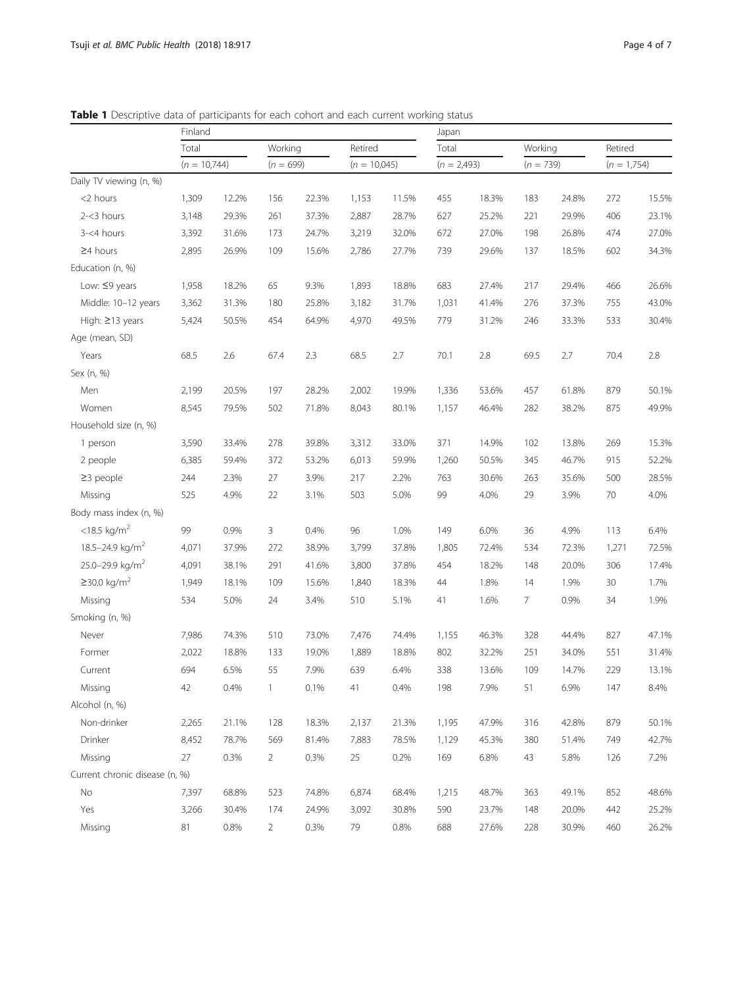|                                | Finland        |       |                |       |                | Japan |               |       |             |       |               |       |
|--------------------------------|----------------|-------|----------------|-------|----------------|-------|---------------|-------|-------------|-------|---------------|-------|
|                                | Total          |       | Working        |       | Retired        |       | Total         |       | Working     |       | Retired       |       |
|                                | $(n = 10,744)$ |       | $(n = 699)$    |       | $(n = 10,045)$ |       | $(n = 2,493)$ |       | $(n = 739)$ |       | $(n = 1,754)$ |       |
| Daily TV viewing (n, %)        |                |       |                |       |                |       |               |       |             |       |               |       |
| <2 hours                       | 1,309          | 12.2% | 156            | 22.3% | 1,153          | 11.5% | 455           | 18.3% | 183         | 24.8% | 272           | 15.5% |
| $2 - 3$ hours                  | 3,148          | 29.3% | 261            | 37.3% | 2,887          | 28.7% | 627           | 25.2% | 221         | 29.9% | 406           | 23.1% |
| $3 - 4 hours$                  | 3,392          | 31.6% | 173            | 24.7% | 3,219          | 32.0% | 672           | 27.0% | 198         | 26.8% | 474           | 27.0% |
| $\geq$ 4 hours                 | 2,895          | 26.9% | 109            | 15.6% | 2,786          | 27.7% | 739           | 29.6% | 137         | 18.5% | 602           | 34.3% |
| Education (n, %)               |                |       |                |       |                |       |               |       |             |       |               |       |
| Low: ≤9 years                  | 1,958          | 18.2% | 65             | 9.3%  | 1,893          | 18.8% | 683           | 27.4% | 217         | 29.4% | 466           | 26.6% |
| Middle: 10-12 years            | 3,362          | 31.3% | 180            | 25.8% | 3,182          | 31.7% | 1,031         | 41.4% | 276         | 37.3% | 755           | 43.0% |
| High: ≥13 years                | 5,424          | 50.5% | 454            | 64.9% | 4,970          | 49.5% | 779           | 31.2% | 246         | 33.3% | 533           | 30.4% |
| Age (mean, SD)                 |                |       |                |       |                |       |               |       |             |       |               |       |
| Years                          | 68.5           | 2.6   | 67.4           | 2.3   | 68.5           | 2.7   | 70.1          | 2.8   | 69.5        | 2.7   | 70.4          | 2.8   |
| Sex (n, %)                     |                |       |                |       |                |       |               |       |             |       |               |       |
| Men                            | 2,199          | 20.5% | 197            | 28.2% | 2,002          | 19.9% | 1,336         | 53.6% | 457         | 61.8% | 879           | 50.1% |
| Women                          | 8,545          | 79.5% | 502            | 71.8% | 8,043          | 80.1% | 1,157         | 46.4% | 282         | 38.2% | 875           | 49.9% |
| Household size (n, %)          |                |       |                |       |                |       |               |       |             |       |               |       |
| 1 person                       | 3,590          | 33.4% | 278            | 39.8% | 3,312          | 33.0% | 371           | 14.9% | 102         | 13.8% | 269           | 15.3% |
| 2 people                       | 6,385          | 59.4% | 372            | 53.2% | 6,013          | 59.9% | 1,260         | 50.5% | 345         | 46.7% | 915           | 52.2% |
| $\geq$ 3 people                | 244            | 2.3%  | 27             | 3.9%  | 217            | 2.2%  | 763           | 30.6% | 263         | 35.6% | 500           | 28.5% |
| Missing                        | 525            | 4.9%  | 22             | 3.1%  | 503            | 5.0%  | 99            | 4.0%  | 29          | 3.9%  | 70            | 4.0%  |
| Body mass index (n, %)         |                |       |                |       |                |       |               |       |             |       |               |       |
| $<$ 18.5 kg/m <sup>2</sup>     | 99             | 0.9%  | 3              | 0.4%  | 96             | 1.0%  | 149           | 6.0%  | 36          | 4.9%  | 113           | 6.4%  |
| 18.5-24.9 kg/m <sup>2</sup>    | 4,071          | 37.9% | 272            | 38.9% | 3,799          | 37.8% | 1,805         | 72.4% | 534         | 72.3% | 1,271         | 72.5% |
| 25.0-29.9 kg/m <sup>2</sup>    | 4,091          | 38.1% | 291            | 41.6% | 3,800          | 37.8% | 454           | 18.2% | 148         | 20.0% | 306           | 17.4% |
| ≥30.0 kg/m <sup>2</sup>        | 1,949          | 18.1% | 109            | 15.6% | 1,840          | 18.3% | 44            | 1.8%  | 14          | 1.9%  | 30            | 1.7%  |
| Missing                        | 534            | 5.0%  | 24             | 3.4%  | 510            | 5.1%  | 41            | 1.6%  | 7           | 0.9%  | 34            | 1.9%  |
| Smoking (n, %)                 |                |       |                |       |                |       |               |       |             |       |               |       |
| Never                          | 7,986          | 74.3% | 510            | 73.0% | 7,476          | 74.4% | 1,155         | 46.3% | 328         | 44.4% | 827           | 47.1% |
| Former                         | 2,022          | 18.8% | 133            | 19.0% | 1,889          | 18.8% | 802           | 32.2% | 251         | 34.0% | 551           | 31.4% |
| Current                        | 694            | 6.5%  | 55             | 7.9%  | 639            | 6.4%  | 338           | 13.6% | 109         | 14.7% | 229           | 13.1% |
| Missing                        | 42             | 0.4%  | $\mathbf{1}$   | 0.1%  | 41             | 0.4%  | 198           | 7.9%  | 51          | 6.9%  | 147           | 8.4%  |
| Alcohol (n, %)                 |                |       |                |       |                |       |               |       |             |       |               |       |
| Non-drinker                    | 2,265          | 21.1% | 128            | 18.3% | 2,137          | 21.3% | 1,195         | 47.9% | 316         | 42.8% | 879           | 50.1% |
| Drinker                        | 8,452          | 78.7% | 569            | 81.4% | 7,883          | 78.5% | 1,129         | 45.3% | 380         | 51.4% | 749           | 42.7% |
| Missing                        | 27             | 0.3%  | $\overline{2}$ | 0.3%  | 25             | 0.2%  | 169           | 6.8%  | 43          | 5.8%  | 126           | 7.2%  |
| Current chronic disease (n, %) |                |       |                |       |                |       |               |       |             |       |               |       |
| No                             | 7,397          | 68.8% | 523            | 74.8% | 6,874          | 68.4% | 1,215         | 48.7% | 363         | 49.1% | 852           | 48.6% |
| Yes                            | 3,266          | 30.4% | 174            | 24.9% | 3,092          | 30.8% | 590           | 23.7% | 148         | 20.0% | 442           | 25.2% |
| Missing                        | 81             | 0.8%  | $\overline{2}$ | 0.3%  | 79             | 0.8%  | 688           | 27.6% | 228         | 30.9% | 460           | 26.2% |

<span id="page-3-0"></span>Table 1 Descriptive data of participants for each cohort and each current working status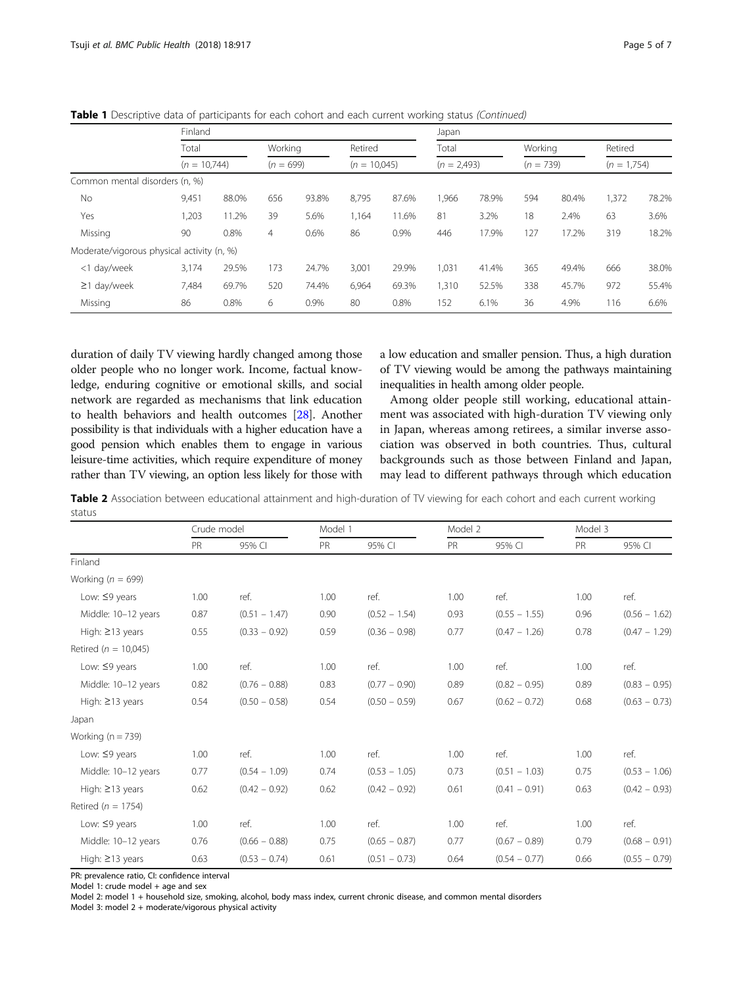|                                            | Finland        |       |                |       |                |       | Japan         |       |             |       |               |       |
|--------------------------------------------|----------------|-------|----------------|-------|----------------|-------|---------------|-------|-------------|-------|---------------|-------|
|                                            | Total          |       | Working        |       | Retired        |       | Total         |       | Working     |       | Retired       |       |
|                                            | $(n = 10,744)$ |       | $(n = 699)$    |       | $(n = 10,045)$ |       | $(n = 2,493)$ |       | $(n = 739)$ |       | $(n = 1.754)$ |       |
| Common mental disorders (n. %)             |                |       |                |       |                |       |               |       |             |       |               |       |
| No.                                        | 9,451          | 88.0% | 656            | 93.8% | 8.795          | 87.6% | 1.966         | 78.9% | 594         | 80.4% | 1,372         | 78.2% |
| Yes                                        | 1,203          | 11.2% | 39             | 5.6%  | 1,164          | 11.6% | 81            | 3.2%  | 18          | 2.4%  | 63            | 3.6%  |
| Missing                                    | 90             | 0.8%  | $\overline{4}$ | 0.6%  | 86             | 0.9%  | 446           | 17.9% | 127         | 17.2% | 319           | 18.2% |
| Moderate/vigorous physical activity (n, %) |                |       |                |       |                |       |               |       |             |       |               |       |
| <1 day/week                                | 3,174          | 29.5% | 173            | 24.7% | 3,001          | 29.9% | 1,031         | 41.4% | 365         | 49.4% | 666           | 38.0% |
| $\geq$ 1 day/week                          | 7,484          | 69.7% | 520            | 74.4% | 6,964          | 69.3% | 1,310         | 52.5% | 338         | 45.7% | 972           | 55.4% |
| Missing                                    | 86             | 0.8%  | 6              | 0.9%  | 80             | 0.8%  | 152           | 6.1%  | 36          | 4.9%  | 116           | 6.6%  |

<span id="page-4-0"></span>Table 1 Descriptive data of participants for each cohort and each current working status (Continued)

duration of daily TV viewing hardly changed among those older people who no longer work. Income, factual knowledge, enduring cognitive or emotional skills, and social network are regarded as mechanisms that link education to health behaviors and health outcomes [\[28\]](#page-6-0). Another possibility is that individuals with a higher education have a good pension which enables them to engage in various leisure-time activities, which require expenditure of money rather than TV viewing, an option less likely for those with

a low education and smaller pension. Thus, a high duration of TV viewing would be among the pathways maintaining inequalities in health among older people.

Among older people still working, educational attainment was associated with high-duration TV viewing only in Japan, whereas among retirees, a similar inverse association was observed in both countries. Thus, cultural backgrounds such as those between Finland and Japan, may lead to different pathways through which education

Table 2 Association between educational attainment and high-duration of TV viewing for each cohort and each current working status

|                          | Crude model |                 | Model 1 |                 | Model 2 |                 | Model 3 |                 |
|--------------------------|-------------|-----------------|---------|-----------------|---------|-----------------|---------|-----------------|
|                          | PR          | 95% CI          | PR      | 95% CI          | PR      | 95% CI          | PR      | 95% CI          |
| Finland                  |             |                 |         |                 |         |                 |         |                 |
| Working ( $n = 699$ )    |             |                 |         |                 |         |                 |         |                 |
| Low: $\leq$ 9 years      | 1.00        | ref.            | 1.00    | ref.            | 1.00    | ref.            | 1.00    | ref.            |
| Middle: 10-12 years      | 0.87        | $(0.51 - 1.47)$ | 0.90    | $(0.52 - 1.54)$ | 0.93    | $(0.55 - 1.55)$ | 0.96    | $(0.56 - 1.62)$ |
| High: $\geq$ 13 years    | 0.55        | $(0.33 - 0.92)$ | 0.59    | $(0.36 - 0.98)$ | 0.77    | $(0.47 - 1.26)$ | 0.78    | $(0.47 - 1.29)$ |
| Retired ( $n = 10,045$ ) |             |                 |         |                 |         |                 |         |                 |
| Low: $\leq$ 9 years      | 1.00        | ref.            | 1.00    | ref.            | 1.00    | ref.            | 1.00    | ref.            |
| Middle: 10-12 years      | 0.82        | $(0.76 - 0.88)$ | 0.83    | $(0.77 - 0.90)$ | 0.89    | $(0.82 - 0.95)$ | 0.89    | $(0.83 - 0.95)$ |
| High: $\geq$ 13 years    | 0.54        | $(0.50 - 0.58)$ | 0.54    | $(0.50 - 0.59)$ | 0.67    | $(0.62 - 0.72)$ | 0.68    | $(0.63 - 0.73)$ |
| Japan                    |             |                 |         |                 |         |                 |         |                 |
| Working $(n = 739)$      |             |                 |         |                 |         |                 |         |                 |
| Low: $\leq$ 9 years      | 1.00        | ref.            | 1.00    | ref.            | 1.00    | ref.            | 1.00    | ref.            |
| Middle: 10-12 years      | 0.77        | $(0.54 - 1.09)$ | 0.74    | $(0.53 - 1.05)$ | 0.73    | $(0.51 - 1.03)$ | 0.75    | $(0.53 - 1.06)$ |
| High: $\geq$ 13 years    | 0.62        | $(0.42 - 0.92)$ | 0.62    | $(0.42 - 0.92)$ | 0.61    | $(0.41 - 0.91)$ | 0.63    | $(0.42 - 0.93)$ |
| Retired ( $n = 1754$ )   |             |                 |         |                 |         |                 |         |                 |
| Low: $\leq$ 9 years      | 1.00        | ref.            | 1.00    | ref.            | 1.00    | ref.            | 1.00    | ref.            |
| Middle: 10-12 years      | 0.76        | $(0.66 - 0.88)$ | 0.75    | $(0.65 - 0.87)$ | 0.77    | $(0.67 - 0.89)$ | 0.79    | $(0.68 - 0.91)$ |
| High: $\geq$ 13 years    | 0.63        | $(0.53 - 0.74)$ | 0.61    | $(0.51 - 0.73)$ | 0.64    | $(0.54 - 0.77)$ | 0.66    | $(0.55 - 0.79)$ |

PR: prevalence ratio, CI: confidence interval

Model 1: crude model  $+$  age and sex

Model 2: model 1 + household size, smoking, alcohol, body mass index, current chronic disease, and common mental disorders

Model 3: model 2 + moderate/vigorous physical activity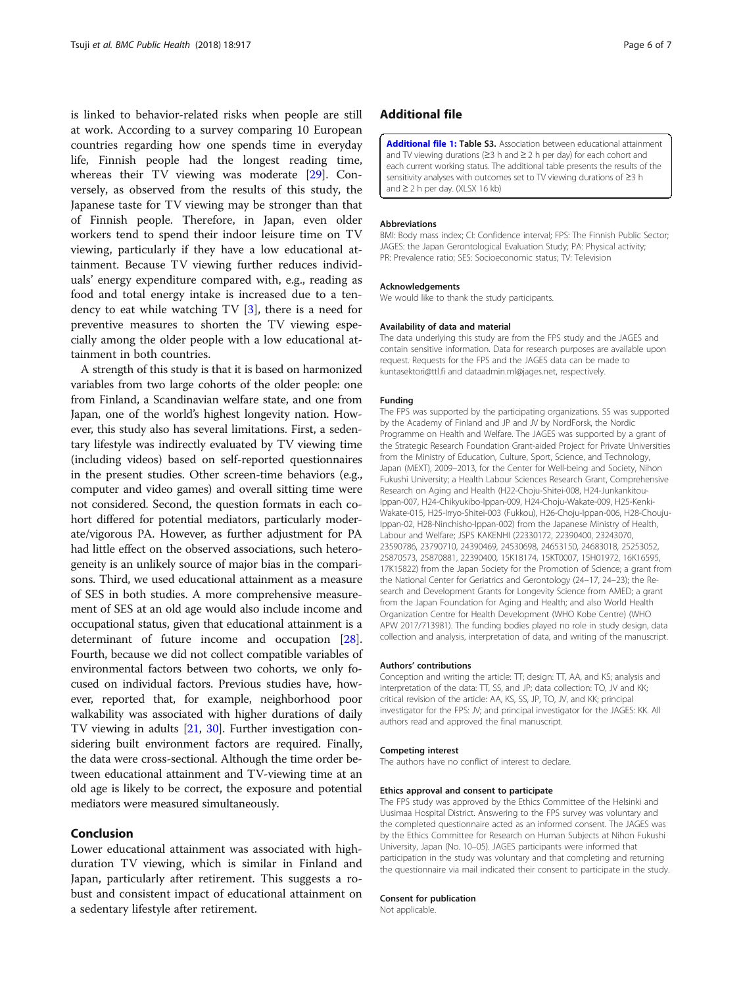<span id="page-5-0"></span>is linked to behavior-related risks when people are still at work. According to a survey comparing 10 European countries regarding how one spends time in everyday life, Finnish people had the longest reading time, whereas their TV viewing was moderate [\[29](#page-6-0)]. Conversely, as observed from the results of this study, the Japanese taste for TV viewing may be stronger than that of Finnish people. Therefore, in Japan, even older workers tend to spend their indoor leisure time on TV viewing, particularly if they have a low educational attainment. Because TV viewing further reduces individuals' energy expenditure compared with, e.g., reading as food and total energy intake is increased due to a tendency to eat while watching TV [[3\]](#page-6-0), there is a need for preventive measures to shorten the TV viewing especially among the older people with a low educational attainment in both countries.

A strength of this study is that it is based on harmonized variables from two large cohorts of the older people: one from Finland, a Scandinavian welfare state, and one from Japan, one of the world's highest longevity nation. However, this study also has several limitations. First, a sedentary lifestyle was indirectly evaluated by TV viewing time (including videos) based on self-reported questionnaires in the present studies. Other screen-time behaviors (e.g., computer and video games) and overall sitting time were not considered. Second, the question formats in each cohort differed for potential mediators, particularly moderate/vigorous PA. However, as further adjustment for PA had little effect on the observed associations, such heterogeneity is an unlikely source of major bias in the comparisons. Third, we used educational attainment as a measure of SES in both studies. A more comprehensive measurement of SES at an old age would also include income and occupational status, given that educational attainment is a determinant of future income and occupation [[28](#page-6-0)]. Fourth, because we did not collect compatible variables of environmental factors between two cohorts, we only focused on individual factors. Previous studies have, however, reported that, for example, neighborhood poor walkability was associated with higher durations of daily TV viewing in adults [\[21,](#page-6-0) [30](#page-6-0)]. Further investigation considering built environment factors are required. Finally, the data were cross-sectional. Although the time order between educational attainment and TV-viewing time at an old age is likely to be correct, the exposure and potential mediators were measured simultaneously.

#### Conclusion

Lower educational attainment was associated with highduration TV viewing, which is similar in Finland and Japan, particularly after retirement. This suggests a robust and consistent impact of educational attainment on a sedentary lifestyle after retirement.

#### Additional file

[Additional file 1:](https://doi.org/10.1186/s12889-018-5860-4) Table S3. Association between educational attainment and TV viewing durations (≥3 h and ≥ 2 h per day) for each cohort and each current working status. The additional table presents the results of the sensitivity analyses with outcomes set to TV viewing durations of ≥3 h and ≥ 2 h per day. (XLSX 16 kb)

#### Abbreviations

BMI: Body mass index; CI: Confidence interval; FPS: The Finnish Public Sector; JAGES: the Japan Gerontological Evaluation Study; PA: Physical activity; PR: Prevalence ratio; SES: Socioeconomic status; TV: Television

#### Acknowledgements

We would like to thank the study participants.

#### Availability of data and material

The data underlying this study are from the FPS study and the JAGES and contain sensitive information. Data for research purposes are available upon request. Requests for the FPS and the JAGES data can be made to kuntasektori@ttl.fi and dataadmin.ml@jages.net, respectively.

#### Funding

The FPS was supported by the participating organizations. SS was supported by the Academy of Finland and JP and JV by NordForsk, the Nordic Programme on Health and Welfare. The JAGES was supported by a grant of the Strategic Research Foundation Grant-aided Project for Private Universities from the Ministry of Education, Culture, Sport, Science, and Technology, Japan (MEXT), 2009–2013, for the Center for Well-being and Society, Nihon Fukushi University; a Health Labour Sciences Research Grant, Comprehensive Research on Aging and Health (H22-Choju-Shitei-008, H24-Junkankitou-Ippan-007, H24-Chikyukibo-Ippan-009, H24-Choju-Wakate-009, H25-Kenki-Wakate-015, H25-Irryo-Shitei-003 (Fukkou), H26-Choju-Ippan-006, H28-Chouju-Ippan-02, H28-Ninchisho-Ippan-002) from the Japanese Ministry of Health, Labour and Welfare; JSPS KAKENHI (22330172, 22390400, 23243070, 23590786, 23790710, 24390469, 24530698, 24653150, 24683018, 25253052, 25870573, 25870881, 22390400, 15K18174, 15KT0007, 15H01972, 16K16595, 17K15822) from the Japan Society for the Promotion of Science; a grant from the National Center for Geriatrics and Gerontology (24–17, 24–23); the Research and Development Grants for Longevity Science from AMED; a grant from the Japan Foundation for Aging and Health; and also World Health Organization Centre for Health Development (WHO Kobe Centre) (WHO APW 2017/713981). The funding bodies played no role in study design, data collection and analysis, interpretation of data, and writing of the manuscript.

#### Authors' contributions

Conception and writing the article: TT; design: TT, AA, and KS; analysis and interpretation of the data: TT, SS, and JP; data collection: TO, JV and KK; critical revision of the article: AA, KS, SS, JP, TO, JV, and KK; principal investigator for the FPS: JV; and principal investigator for the JAGES: KK. All authors read and approved the final manuscript.

#### Competing interest

The authors have no conflict of interest to declare.

#### Ethics approval and consent to participate

The FPS study was approved by the Ethics Committee of the Helsinki and Uusimaa Hospital District. Answering to the FPS survey was voluntary and the completed questionnaire acted as an informed consent. The JAGES was by the Ethics Committee for Research on Human Subjects at Nihon Fukushi University, Japan (No. 10–05). JAGES participants were informed that participation in the study was voluntary and that completing and returning the questionnaire via mail indicated their consent to participate in the study.

#### Consent for publication

Not applicable.